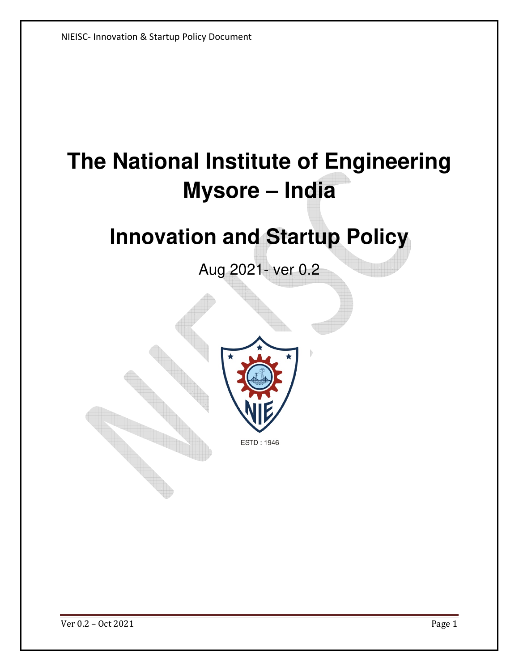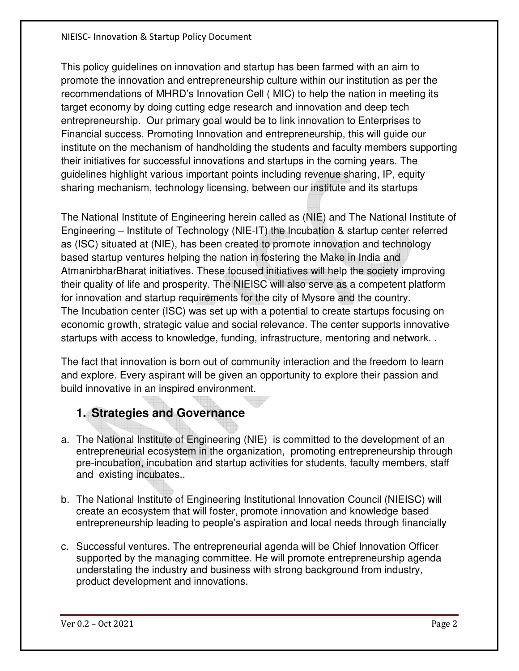This policy guidelines on innovation and startup has been farmed with an aim to promote the innovation and entrepreneurship culture within our institution as per the recommendations of MHRD's Innovation Cell ( MIC) to help the nation in meeting its target economy by doing cutting edge research and innovation and deep tech entrepreneurship. Our primary goal would be to link innovation to Enterprises to Financial success. Promoting Innovation and entrepreneurship, this will guide our institute on the mechanism of handholding the students and faculty members supporting their initiatives for successful innovations and startups in the coming years. The guidelines highlight various important points including revenue sharing, IP, equity sharing mechanism, technology licensing, between our institute and its startups

The National Institute of Engineering herein called as (NIE) and The National Institute of Engineering – Institute of Technology (NIE-IT) the Incubation & startup center referred as (ISC) situated at (NIE), has been created to promote innovation and technology based startup ventures helping the nation in fostering the Make in India and AtmanirbharBharat initiatives. These focused initiatives will help the society improving their quality of life and prosperity. The NIEISC will also serve as a competent platform for innovation and startup requirements for the city of Mysore and the country. The Incubation center (ISC) was set up with a potential to create startups focusing on economic growth, strategic value and social relevance. The center supports innovative startups with access to knowledge, funding, infrastructure, mentoring and network. .

The fact that innovation is born out of community interaction and the freedom to learn and explore. Every aspirant will be given an opportunity to explore their passion and build innovative in an inspired environment.

# **1. Strategies and Governance**

- a. The National Institute of Engineering (NIE) is committed to the development of an entrepreneurial ecosystem in the organization, promoting entrepreneurship through pre-incubation, incubation and startup activities for students, faculty members, staff and existing incubates..
- b. The National Institute of Engineering Institutional Innovation Council (NIEISC) will create an ecosystem that will foster, promote innovation and knowledge based entrepreneurship leading to people's aspiration and local needs through financially
- c. Successful ventures. The entrepreneurial agenda will be Chief Innovation Officer supported by the managing committee. He will promote entrepreneurship agenda understating the industry and business with strong background from industry, product development and innovations.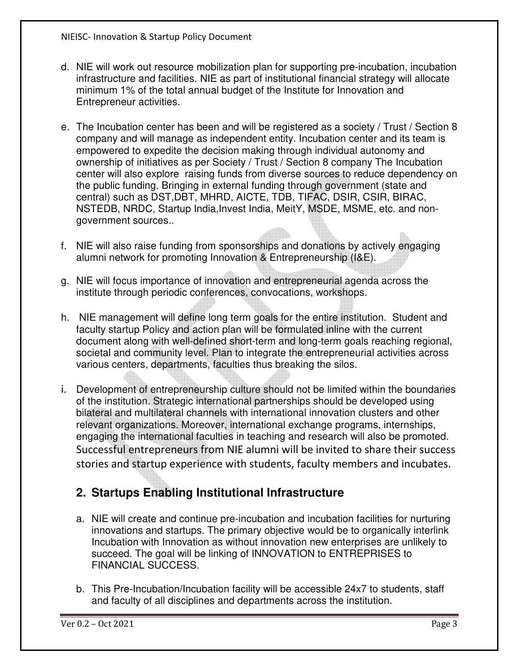- d. NIE will work out resource mobilization plan for supporting pre-incubation, incubation infrastructure and facilities. NIE as part of institutional financial strategy will allocate minimum 1% of the total annual budget of the Institute for Innovation and Entrepreneur activities.
- e. The Incubation center has been and will be registered as a society / Trust / Section 8 company and will manage as independent entity. Incubation center and its team is empowered to expedite the decision making through individual autonomy and ownership of initiatives as per Society / Trust / Section 8 company The Incubation center will also explore raising funds from diverse sources to reduce dependency on the public funding. Bringing in external funding through government (state and central) such as DST,DBT, MHRD, AICTE, TDB, TIFAC, DSIR, CSIR, BIRAC, NSTEDB, NRDC, Startup India,Invest India, MeitY, MSDE, MSME, etc. and nongovernment sources..
- f. NIE will also raise funding from sponsorships and donations by actively engaging alumni network for promoting Innovation & Entrepreneurship (I&E).
- g. NIE will focus importance of innovation and entrepreneurial agenda across the institute through periodic conferences, convocations, workshops.
- h. NIE management will define long term goals for the entire institution. Student and faculty startup Policy and action plan will be formulated inline with the current document along with well-defined short-term and long-term goals reaching regional, societal and community level. Plan to integrate the entrepreneurial activities across various centers, departments, faculties thus breaking the silos.
- i. Development of entrepreneurship culture should not be limited within the boundaries of the institution. Strategic international partnerships should be developed using bilateral and multilateral channels with international innovation clusters and other relevant organizations. Moreover, international exchange programs, internships, engaging the international faculties in teaching and research will also be promoted. Successful entrepreneurs from NIE alumni will be invited to share their success stories and startup experience with students, faculty members and incubates.

## **2. Startups Enabling Institutional Infrastructure**

- a. NIE will create and continue pre-incubation and incubation facilities for nurturing innovations and startups. The primary objective would be to organically interlink Incubation with Innovation as without innovation new enterprises are unlikely to succeed. The goal will be linking of INNOVATION to ENTREPRISES to FINANCIAL SUCCESS.
- b. This Pre-Incubation/Incubation facility will be accessible 24x7 to students, staff and faculty of all disciplines and departments across the institution.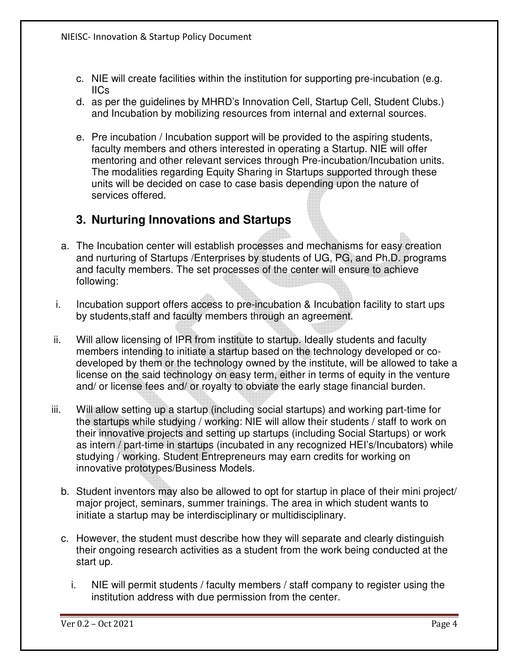- c. NIE will create facilities within the institution for supporting pre-incubation (e.g. IICs
- d. as per the guidelines by MHRD's Innovation Cell, Startup Cell, Student Clubs.) and Incubation by mobilizing resources from internal and external sources.
- e. Pre incubation / Incubation support will be provided to the aspiring students, faculty members and others interested in operating a Startup. NIE will offer mentoring and other relevant services through Pre-incubation/Incubation units. The modalities regarding Equity Sharing in Startups supported through these units will be decided on case to case basis depending upon the nature of services offered.

## **3. Nurturing Innovations and Startups**

- a. The Incubation center will establish processes and mechanisms for easy creation and nurturing of Startups /Enterprises by students of UG, PG, and Ph.D. programs and faculty members. The set processes of the center will ensure to achieve following:
- i. Incubation support offers access to pre-incubation & Incubation facility to start ups by students,staff and faculty members through an agreement.
- ii. Will allow licensing of IPR from institute to startup. Ideally students and faculty members intending to initiate a startup based on the technology developed or codeveloped by them or the technology owned by the institute, will be allowed to take a license on the said technology on easy term, either in terms of equity in the venture and/ or license fees and/ or royalty to obviate the early stage financial burden.
- iii. Will allow setting up a startup (including social startups) and working part-time for the startups while studying / working: NIE will allow their students / staff to work on their innovative projects and setting up startups (including Social Startups) or work as intern / part-time in startups (incubated in any recognized HEI's/Incubators) while studying / working. Student Entrepreneurs may earn credits for working on innovative prototypes/Business Models.
	- b. Student inventors may also be allowed to opt for startup in place of their mini project/ major project, seminars, summer trainings. The area in which student wants to initiate a startup may be interdisciplinary or multidisciplinary.
	- c. However, the student must describe how they will separate and clearly distinguish their ongoing research activities as a student from the work being conducted at the start up.
		- i. NIE will permit students / faculty members / staff company to register using the institution address with due permission from the center.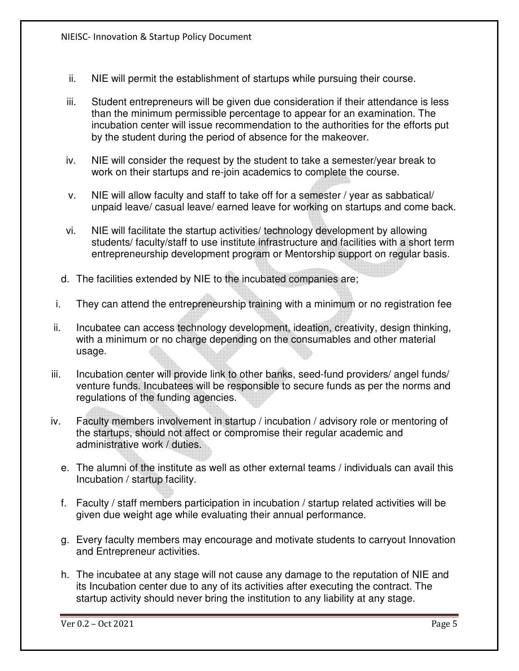- ii. NIE will permit the establishment of startups while pursuing their course.
- iii. Student entrepreneurs will be given due consideration if their attendance is less than the minimum permissible percentage to appear for an examination. The incubation center will issue recommendation to the authorities for the efforts put by the student during the period of absence for the makeover.
- iv. NIE will consider the request by the student to take a semester/year break to work on their startups and re-join academics to complete the course.
- v. NIE will allow faculty and staff to take off for a semester / year as sabbatical/ unpaid leave/ casual leave/ earned leave for working on startups and come back.
- vi. NIE will facilitate the startup activities/ technology development by allowing students/ faculty/staff to use institute infrastructure and facilities with a short term entrepreneurship development program or Mentorship support on regular basis.
- d. The facilities extended by NIE to the incubated companies are;
- i. They can attend the entrepreneurship training with a minimum or no registration fee
- ii. Incubatee can access technology development, ideation, creativity, design thinking, with a minimum or no charge depending on the consumables and other material usage.
- iii. Incubation center will provide link to other banks, seed-fund providers/ angel funds/ venture funds. Incubatees will be responsible to secure funds as per the norms and regulations of the funding agencies.
- iv. Faculty members involvement in startup / incubation / advisory role or mentoring of the startups, should not affect or compromise their regular academic and administrative work / duties.
	- e. The alumni of the institute as well as other external teams / individuals can avail this Incubation / startup facility.
	- f. Faculty / staff members participation in incubation / startup related activities will be given due weight age while evaluating their annual performance.
	- g. Every faculty members may encourage and motivate students to carryout Innovation and Entrepreneur activities.
	- h. The incubatee at any stage will not cause any damage to the reputation of NIE and its Incubation center due to any of its activities after executing the contract. The startup activity should never bring the institution to any liability at any stage.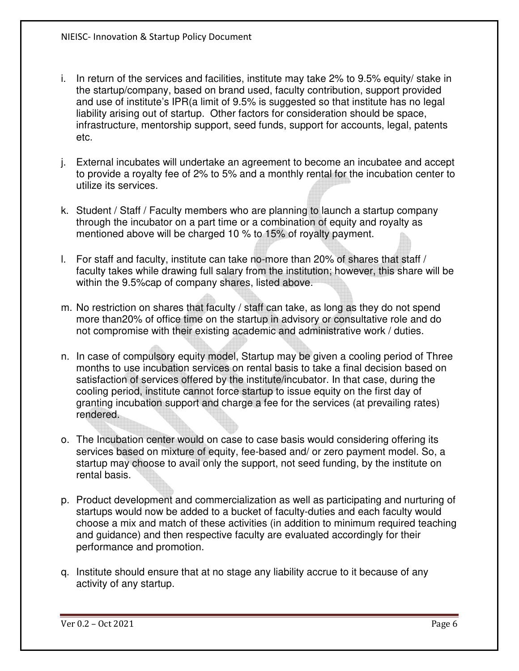- i. In return of the services and facilities, institute may take 2% to 9.5% equity/ stake in the startup/company, based on brand used, faculty contribution, support provided and use of institute's IPR(a limit of 9.5% is suggested so that institute has no legal liability arising out of startup. Other factors for consideration should be space, infrastructure, mentorship support, seed funds, support for accounts, legal, patents etc.
- j. External incubates will undertake an agreement to become an incubatee and accept to provide a royalty fee of 2% to 5% and a monthly rental for the incubation center to utilize its services.
- k. Student / Staff / Faculty members who are planning to launch a startup company through the incubator on a part time or a combination of equity and royalty as mentioned above will be charged 10 % to 15% of royalty payment.
- l. For staff and faculty, institute can take no-more than 20% of shares that staff / faculty takes while drawing full salary from the institution; however, this share will be within the 9.5%cap of company shares, listed above.
- m. No restriction on shares that faculty / staff can take, as long as they do not spend more than20% of office time on the startup in advisory or consultative role and do not compromise with their existing academic and administrative work / duties.
- n. In case of compulsory equity model, Startup may be given a cooling period of Three months to use incubation services on rental basis to take a final decision based on satisfaction of services offered by the institute/incubator. In that case, during the cooling period, institute cannot force startup to issue equity on the first day of granting incubation support and charge a fee for the services (at prevailing rates) rendered.
- o. The Incubation center would on case to case basis would considering offering its services based on mixture of equity, fee-based and/ or zero payment model. So, a startup may choose to avail only the support, not seed funding, by the institute on rental basis.
- p. Product development and commercialization as well as participating and nurturing of startups would now be added to a bucket of faculty-duties and each faculty would choose a mix and match of these activities (in addition to minimum required teaching and guidance) and then respective faculty are evaluated accordingly for their performance and promotion.
- q. Institute should ensure that at no stage any liability accrue to it because of any activity of any startup.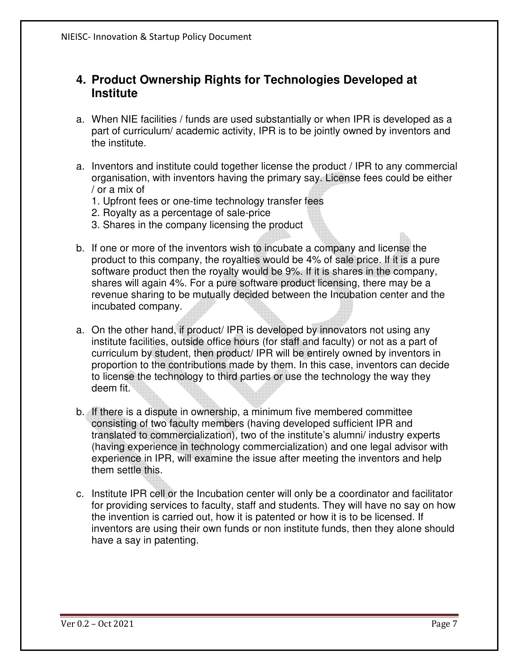#### **4. Product Ownership Rights for Technologies Developed at Institute**

- a. When NIE facilities / funds are used substantially or when IPR is developed as a part of curriculum/ academic activity, IPR is to be jointly owned by inventors and the institute.
- a. Inventors and institute could together license the product / IPR to any commercial organisation, with inventors having the primary say. License fees could be either / or a mix of
	- 1. Upfront fees or one-time technology transfer fees
	- 2. Royalty as a percentage of sale-price
	- 3. Shares in the company licensing the product
- b. If one or more of the inventors wish to incubate a company and license the product to this company, the royalties would be 4% of sale price. If it is a pure software product then the royalty would be 9%. If it is shares in the company, shares will again 4%. For a pure software product licensing, there may be a revenue sharing to be mutually decided between the Incubation center and the incubated company.
- a. On the other hand, if product/ IPR is developed by innovators not using any institute facilities, outside office hours (for staff and faculty) or not as a part of curriculum by student, then product/ IPR will be entirely owned by inventors in proportion to the contributions made by them. In this case, inventors can decide to license the technology to third parties or use the technology the way they deem fit.
- b. If there is a dispute in ownership, a minimum five membered committee consisting of two faculty members (having developed sufficient IPR and translated to commercialization), two of the institute's alumni/ industry experts (having experience in technology commercialization) and one legal advisor with experience in IPR, will examine the issue after meeting the inventors and help them settle this.
- c. Institute IPR cell or the Incubation center will only be a coordinator and facilitator for providing services to faculty, staff and students. They will have no say on how the invention is carried out, how it is patented or how it is to be licensed. If inventors are using their own funds or non institute funds, then they alone should have a say in patenting.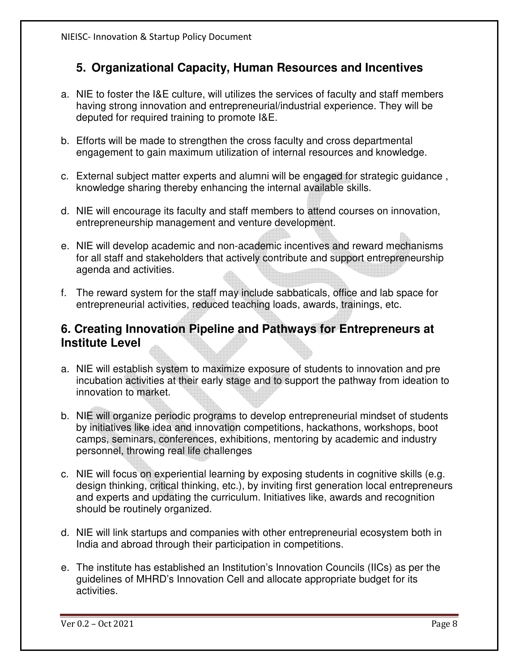## **5. Organizational Capacity, Human Resources and Incentives**

- a. NIE to foster the I&E culture, will utilizes the services of faculty and staff members having strong innovation and entrepreneurial/industrial experience. They will be deputed for required training to promote I&E.
- b. Efforts will be made to strengthen the cross faculty and cross departmental engagement to gain maximum utilization of internal resources and knowledge.
- c. External subject matter experts and alumni will be engaged for strategic guidance , knowledge sharing thereby enhancing the internal available skills.
- d. NIE will encourage its faculty and staff members to attend courses on innovation, entrepreneurship management and venture development.
- e. NIE will develop academic and non-academic incentives and reward mechanisms for all staff and stakeholders that actively contribute and support entrepreneurship agenda and activities.
- f. The reward system for the staff may include sabbaticals, office and lab space for entrepreneurial activities, reduced teaching loads, awards, trainings, etc.

## **6. Creating Innovation Pipeline and Pathways for Entrepreneurs at Institute Level**

- a. NIE will establish system to maximize exposure of students to innovation and pre incubation activities at their early stage and to support the pathway from ideation to innovation to market.
- b. NIE will organize periodic programs to develop entrepreneurial mindset of students by initiatives like idea and innovation competitions, hackathons, workshops, boot camps, seminars, conferences, exhibitions, mentoring by academic and industry personnel, throwing real life challenges
- c. NIE will focus on experiential learning by exposing students in cognitive skills (e.g. design thinking, critical thinking, etc.), by inviting first generation local entrepreneurs and experts and updating the curriculum. Initiatives like, awards and recognition should be routinely organized.
- d. NIE will link startups and companies with other entrepreneurial ecosystem both in India and abroad through their participation in competitions.
- e. The institute has established an Institution's Innovation Councils (IICs) as per the guidelines of MHRD's Innovation Cell and allocate appropriate budget for its activities.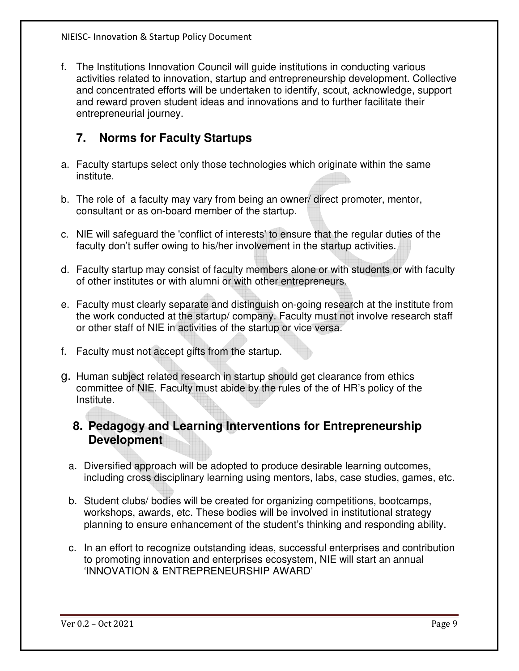f. The Institutions Innovation Council will guide institutions in conducting various activities related to innovation, startup and entrepreneurship development. Collective and concentrated efforts will be undertaken to identify, scout, acknowledge, support and reward proven student ideas and innovations and to further facilitate their entrepreneurial journey.

## **7. Norms for Faculty Startups**

- a. Faculty startups select only those technologies which originate within the same institute.
- b. The role of a faculty may vary from being an owner/ direct promoter, mentor, consultant or as on-board member of the startup.
- c. NIE will safeguard the 'conflict of interests' to ensure that the regular duties of the faculty don't suffer owing to his/her involvement in the startup activities.
- d. Faculty startup may consist of faculty members alone or with students or with faculty of other institutes or with alumni or with other entrepreneurs.
- e. Faculty must clearly separate and distinguish on-going research at the institute from the work conducted at the startup/ company. Faculty must not involve research staff or other staff of NIE in activities of the startup or vice versa.
- f. Faculty must not accept gifts from the startup.
- g. Human subject related research in startup should get clearance from ethics committee of NIE. Faculty must abide by the rules of the of HR's policy of the Institute.

## **8. Pedagogy and Learning Interventions for Entrepreneurship Development**

- a. Diversified approach will be adopted to produce desirable learning outcomes, including cross disciplinary learning using mentors, labs, case studies, games, etc.
- b. Student clubs/ bodies will be created for organizing competitions, bootcamps, workshops, awards, etc. These bodies will be involved in institutional strategy planning to ensure enhancement of the student's thinking and responding ability.
- c. In an effort to recognize outstanding ideas, successful enterprises and contribution to promoting innovation and enterprises ecosystem, NIE will start an annual 'INNOVATION & ENTREPRENEURSHIP AWARD'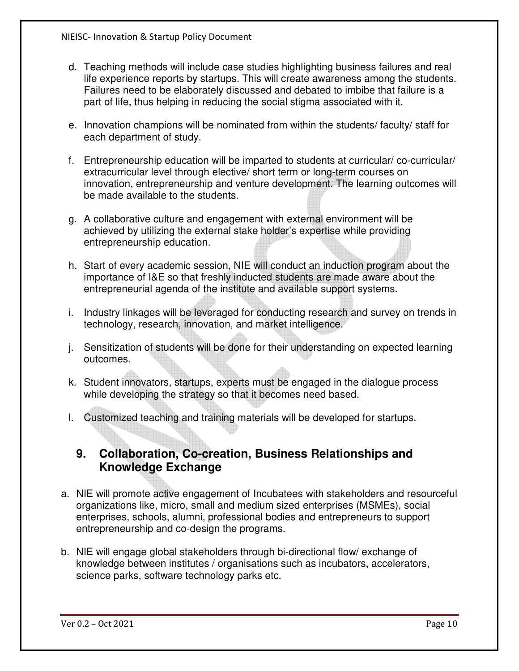- d. Teaching methods will include case studies highlighting business failures and real life experience reports by startups. This will create awareness among the students. Failures need to be elaborately discussed and debated to imbibe that failure is a part of life, thus helping in reducing the social stigma associated with it.
- e. Innovation champions will be nominated from within the students/ faculty/ staff for each department of study.
- f. Entrepreneurship education will be imparted to students at curricular/ co-curricular/ extracurricular level through elective/ short term or long-term courses on innovation, entrepreneurship and venture development. The learning outcomes will be made available to the students.
- g. A collaborative culture and engagement with external environment will be achieved by utilizing the external stake holder's expertise while providing entrepreneurship education.
- h. Start of every academic session, NIE will conduct an induction program about the importance of I&E so that freshly inducted students are made aware about the entrepreneurial agenda of the institute and available support systems.
- i. Industry linkages will be leveraged for conducting research and survey on trends in technology, research, innovation, and market intelligence.
- j. Sensitization of students will be done for their understanding on expected learning outcomes.
- k. Student innovators, startups, experts must be engaged in the dialogue process while developing the strategy so that it becomes need based.
- l. Customized teaching and training materials will be developed for startups.

## **9. Collaboration, Co-creation, Business Relationships and Knowledge Exchange**

- a. NIE will promote active engagement of Incubatees with stakeholders and resourceful organizations like, micro, small and medium sized enterprises (MSMEs), social enterprises, schools, alumni, professional bodies and entrepreneurs to support entrepreneurship and co-design the programs.
- b. NIE will engage global stakeholders through bi-directional flow/ exchange of knowledge between institutes / organisations such as incubators, accelerators, science parks, software technology parks etc.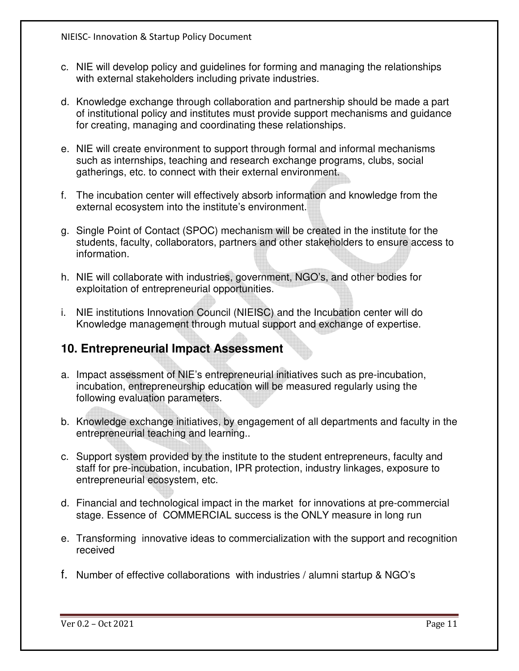- c. NIE will develop policy and guidelines for forming and managing the relationships with external stakeholders including private industries.
- d. Knowledge exchange through collaboration and partnership should be made a part of institutional policy and institutes must provide support mechanisms and guidance for creating, managing and coordinating these relationships.
- e. NIE will create environment to support through formal and informal mechanisms such as internships, teaching and research exchange programs, clubs, social gatherings, etc. to connect with their external environment.
- f. The incubation center will effectively absorb information and knowledge from the external ecosystem into the institute's environment.
- g. Single Point of Contact (SPOC) mechanism will be created in the institute for the students, faculty, collaborators, partners and other stakeholders to ensure access to information.
- h. NIE will collaborate with industries, government, NGO's, and other bodies for exploitation of entrepreneurial opportunities.
- i. NIE institutions Innovation Council (NIEISC) and the Incubation center will do Knowledge management through mutual support and exchange of expertise.

#### **10. Entrepreneurial Impact Assessment**

- a. Impact assessment of NIE's entrepreneurial initiatives such as pre-incubation, incubation, entrepreneurship education will be measured regularly using the following evaluation parameters.
- b. Knowledge exchange initiatives, by engagement of all departments and faculty in the entrepreneurial teaching and learning..
- c. Support system provided by the institute to the student entrepreneurs, faculty and staff for pre-incubation, incubation, IPR protection, industry linkages, exposure to entrepreneurial ecosystem, etc.
- d. Financial and technological impact in the market for innovations at pre-commercial stage. Essence of COMMERCIAL success is the ONLY measure in long run
- e. Transforming innovative ideas to commercialization with the support and recognition received
- f. Number of effective collaborations with industries / alumni startup & NGO's